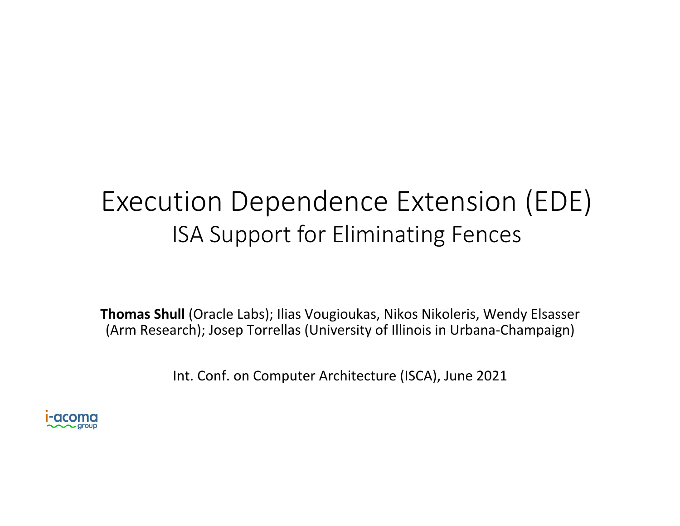# Execution Dependence Extension (EDE) ISA Support for Eliminating Fences

**Thomas Shull** (Oracle Labs); Ilias Vougioukas, Nikos Nikoleris, Wendy Elsasser (Arm Research); Josep Torrellas (University of Illinois in Urbana-Champaign)

Int. Conf. on Computer Architecture (ISCA), June 2021

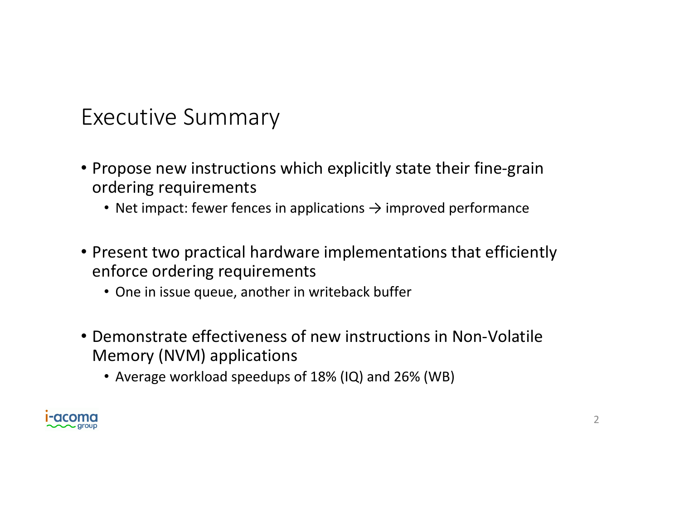#### Executive Summary

- Propose new instructions which explicitly state their fine-grain ordering requirements
	- Net impact: fewer fences in applications  $\rightarrow$  improved performance
- Present two practical hardware implementations that efficiently enforce ordering requirements
	- One in issue queue, another in writeback buffer
- Demonstrate effectiveness of new instructions in Non-Volatile Memory (NVM) applications
	- Average workload speedups of 18% (IQ) and 26% (WB)

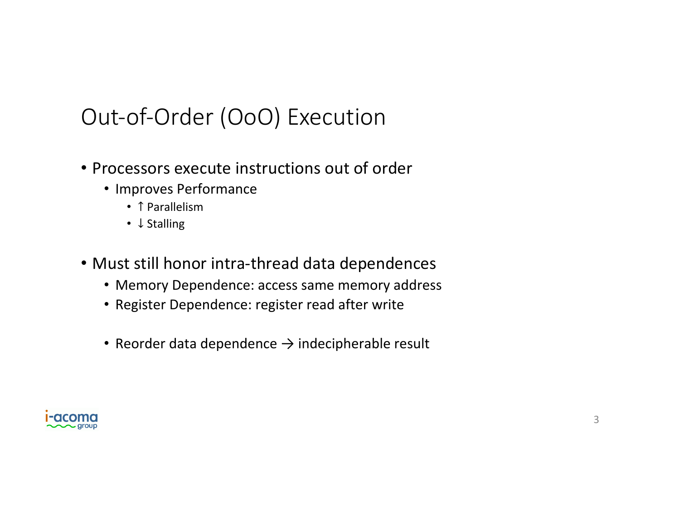## Out-of-Order (OoO) Execution

- Processors execute instructions out of order
	- Improves Performance
		- ↑ Parallelism
		- ↓ Stalling
- Must still honor intra-thread data dependences
	- Memory Dependence: access same memory address
	- Register Dependence: register read after write
	- Reorder data dependence  $\rightarrow$  indecipherable result

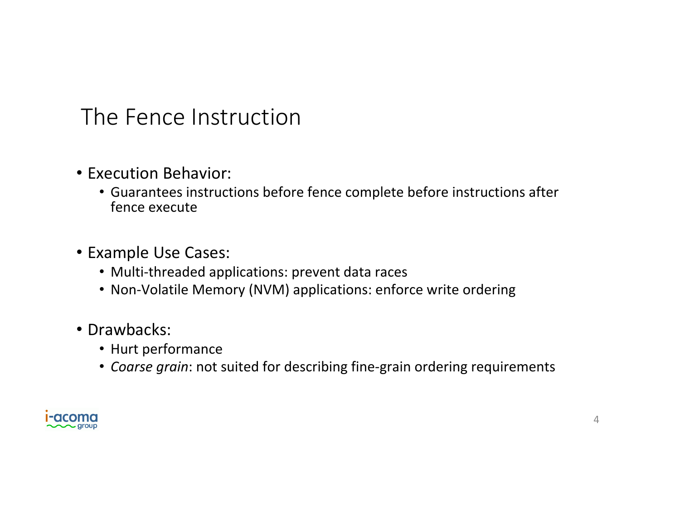#### The Fence Instruction

- Execution Behavior:
	- Guarantees instructions before fence complete before instructions after fence execute
- Example Use Cases:
	- Multi-threaded applications: prevent data races
	- Non-Volatile Memory (NVM) applications: enforce write ordering
- Drawbacks:
	- Hurt performance
	- Coarse grain: not suited for describing fine-grain ordering requirements

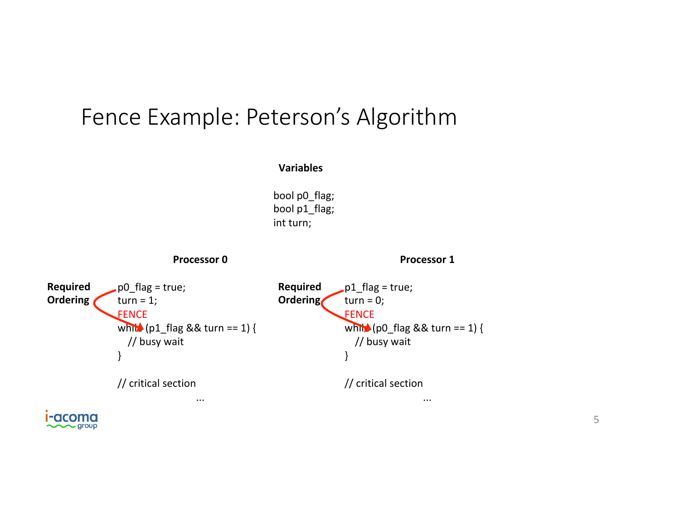#### Fence Example: Peterson's Algorithm

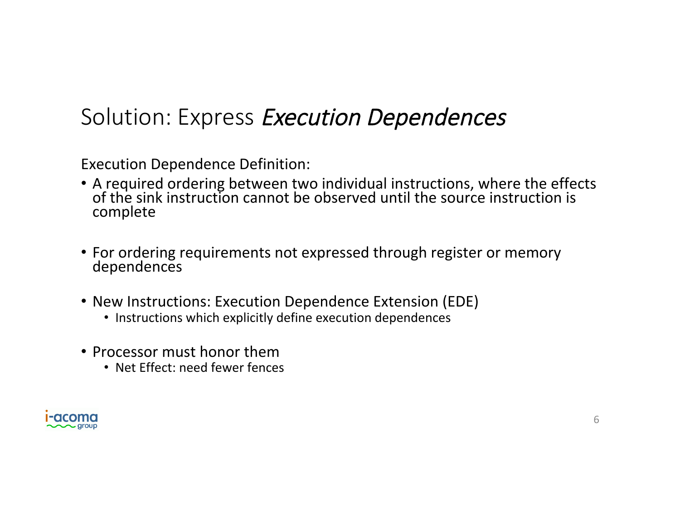#### Solution: Express Execution Dependences

Execution Dependence Definition:

- A required ordering between two individual instructions, where the effects of the sink instruction cannot be observed until the source instruction is complete
- For ordering requirements not expressed through register or memory dependences
- New Instructions: Execution Dependence Extension (EDE)
	- Instructions which explicitly define execution dependences
- Processor must honor them
	- Net Effect: need fewer fences

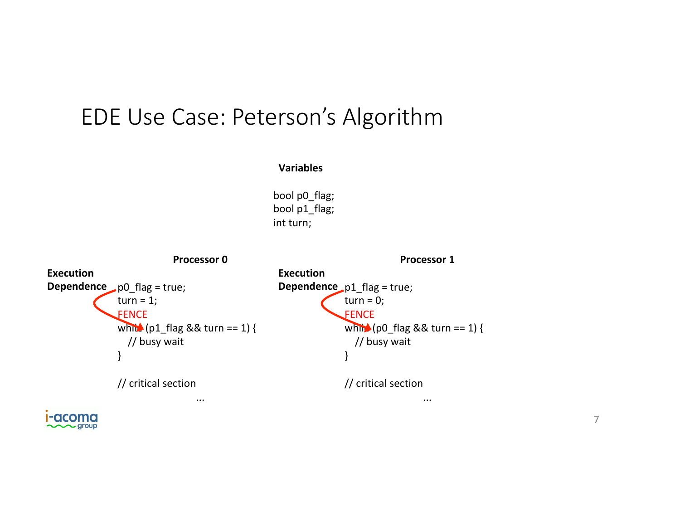#### EDE Use Case: Peterson's Algorithm

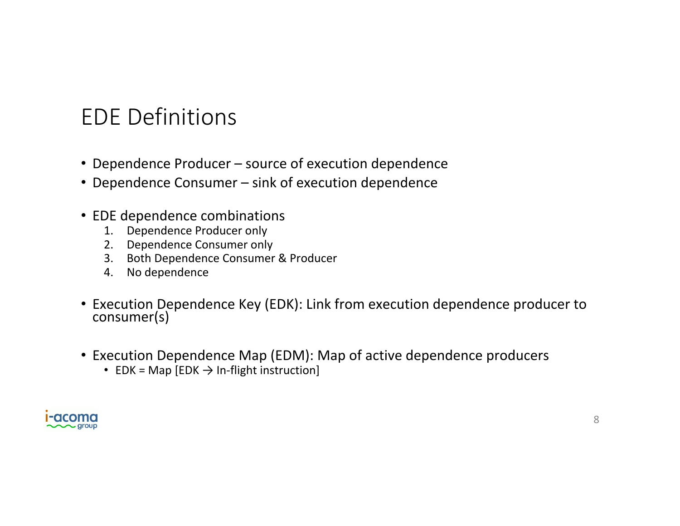### EDE Definitions

- Dependence Producer source of execution dependence
- Dependence Consumer sink of execution dependence
- EDE dependence combinations
	- 1. Dependence Producer only
	- 2. Dependence Consumer only
	- 3. Both Dependence Consumer & Producer
	- 4. No dependence
- Execution Dependence Key (EDK): Link from execution dependence producer to consumer(s)
- Execution Dependence Map (EDM): Map of active dependence producers
	- EDK = Map  $[EDK \rightarrow In\text{-flight instruction}]$

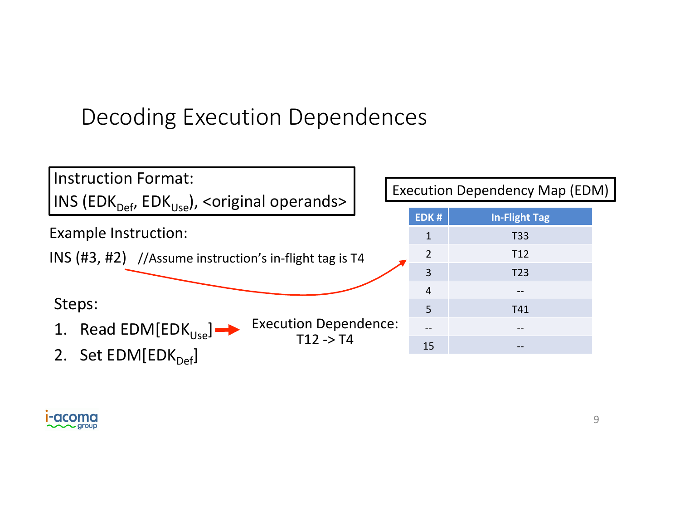## Decoding Execution Dependences



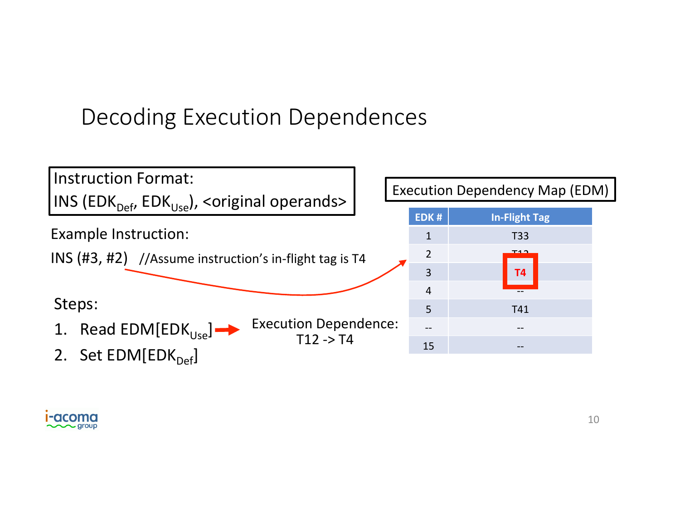## Decoding Execution Dependences



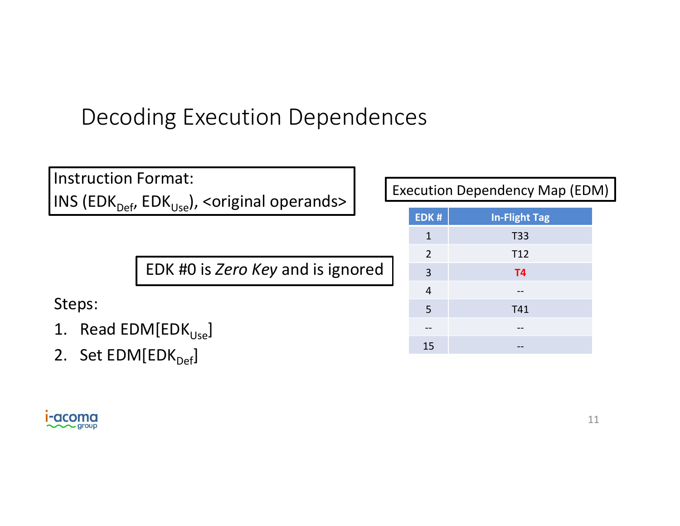## Decoding Execution Dependences

| <b>Instruction Format:</b><br> INS (EDK <sub>Def</sub> , EDK <sub>Use</sub> ), <original operands=""></original> |  | <b>Execution Dependency Map (EDM)</b> |                      |  |
|------------------------------------------------------------------------------------------------------------------|--|---------------------------------------|----------------------|--|
|                                                                                                                  |  | EDK#                                  | <b>In-Flight Tag</b> |  |
|                                                                                                                  |  |                                       | T33                  |  |
| EDK #0 is Zero Key and is ignored                                                                                |  | 2                                     | T <sub>12</sub>      |  |
|                                                                                                                  |  | $\overline{3}$                        | T <sub>4</sub>       |  |
| Steps:<br>1. Read FDM[FDK                                                                                        |  | $\overline{4}$                        | $- -$                |  |
|                                                                                                                  |  | 5                                     | T41                  |  |
|                                                                                                                  |  |                                       |                      |  |

 $15$ 

- 1. Read EDM[EDK<sub>Use</sub>]
- 2. Set  $EDM[EDK_{Def}]$

**i-acoma**  $Q$  group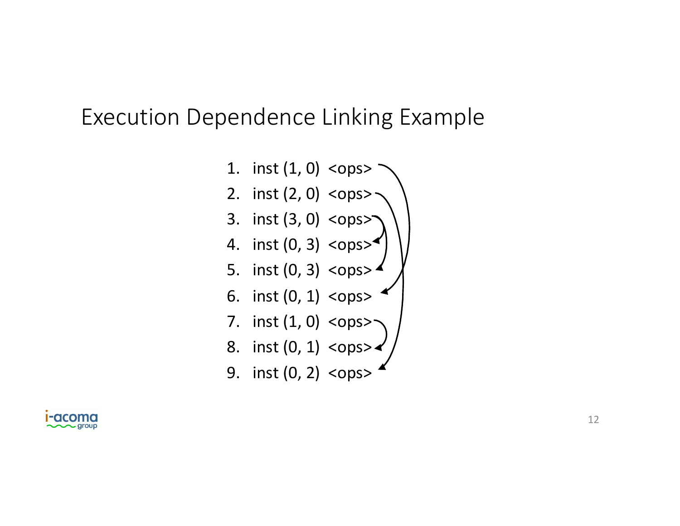#### Execution Dependence Linking Example



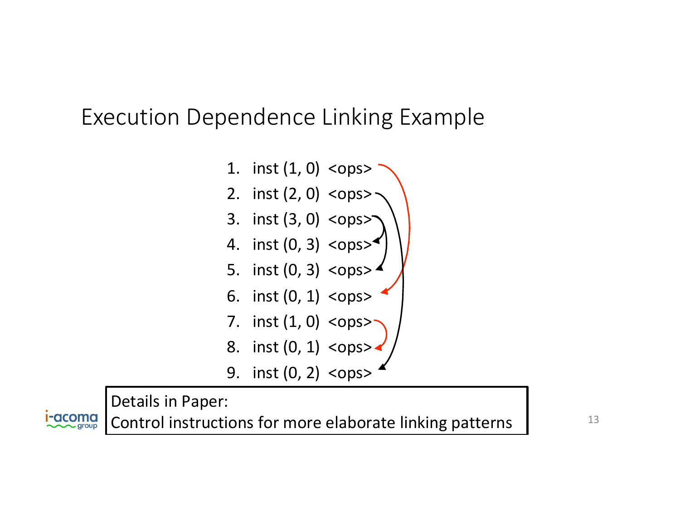#### Execution Dependence Linking Example



Details in Paper:

**I-acoma** 

Control instructions for more elaborate linking patterns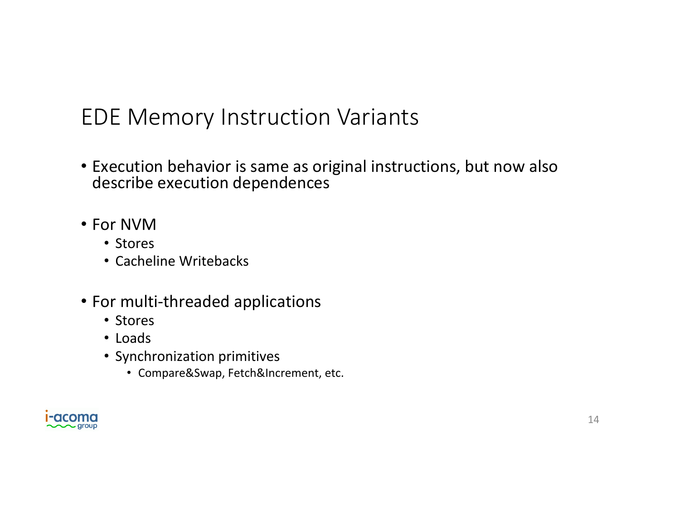## EDE Memory Instruction Variants

- Execution behavior is same as original instructions, but now also describe execution dependences
- For NVM
	- Stores
	- Cacheline Writebacks
- For multi-threaded applications
	- Stores
	- Loads
	- Synchronization primitives
		- Compare&Swap, Fetch&Increment, etc.

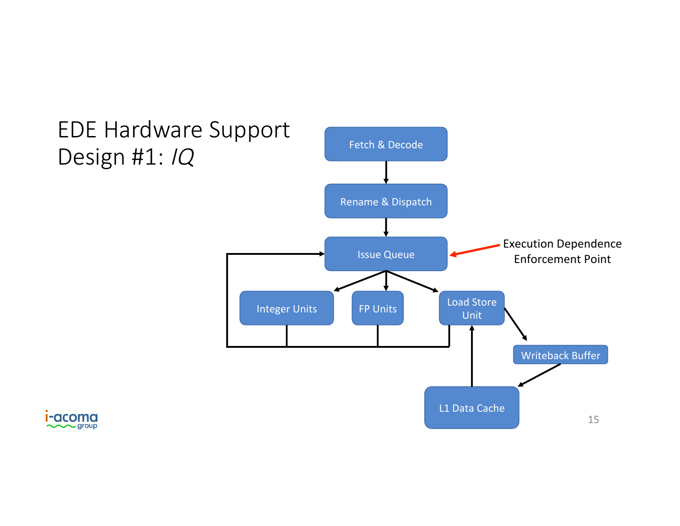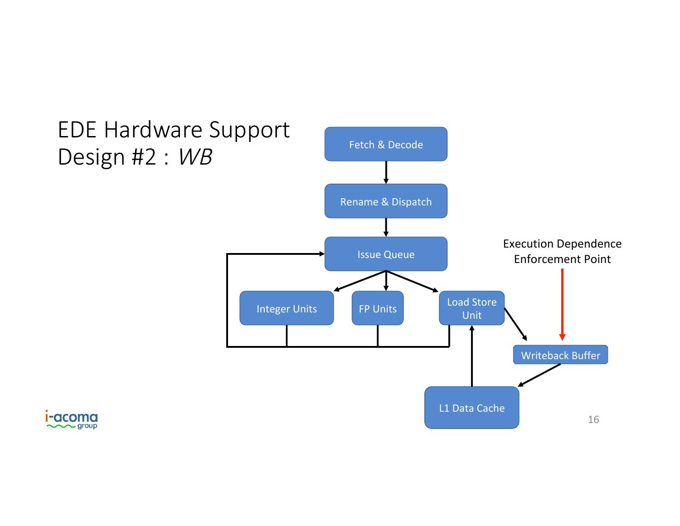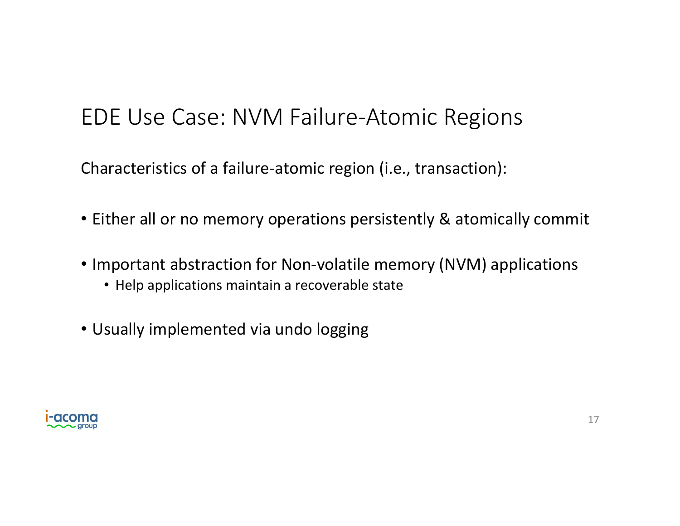### EDE Use Case: NVM Failure-Atomic Regions

Characteristics of a failure-atomic region (i.e., transaction):

- Either all or no memory operations persistently & atomically commit
- Important abstraction for Non-volatile memory (NVM) applications
	- Help applications maintain a recoverable state
- Usually implemented via undo logging

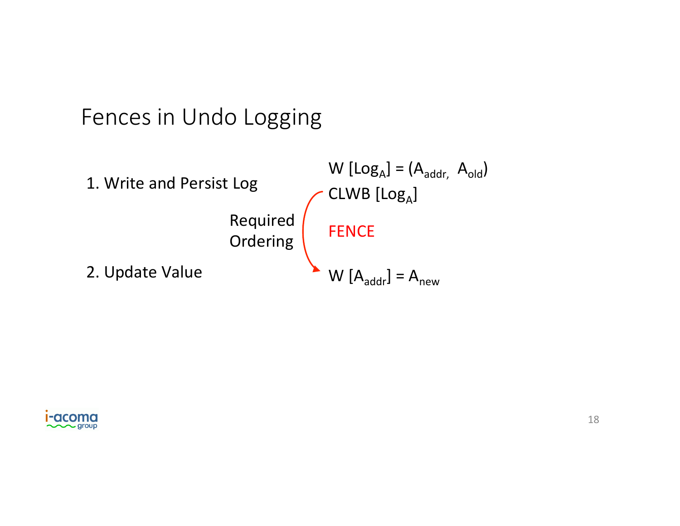#### Fences in Undo Logging



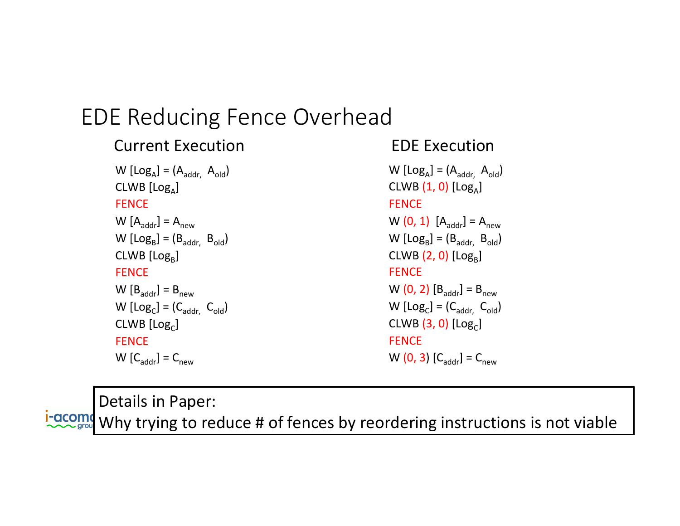#### EDE Reducing Fence Overhead

#### $W$   $[Log_A] = (A_{addr}, A_{old})$  $CLWB$   $[Log<sub>A</sub>]$ **FENCE**  $W [A_{addr}] = A_{new}$  $W$  [Log<sub>B</sub>] = ( $B_{addr}$ ,  $B_{old}$ )  $CLWB$   $[Log<sub>B</sub>]$ **FENCE**  $W [B_{addr}] = B_{new}$  $W$  [Log<sub>C</sub>] = ( $C_{\text{addr}, C_{\text{old}}$ )  $CLWB$   $[Log<sub>c</sub>]$ **FENCE**  $W\left[C_{\text{addr}}\right] = C_{\text{new}}$ **Current Execution**

```
W [Log<sub>A</sub>] = (A_{\text{addr}, A_{\text{old}})
CLWB(1, 0)[Log<sub>A</sub>]FENCE
W (0, 1) [A_{\text{addr}}] = A_{\text{new}}W [Log<sub>B</sub>] = (B_{addr}, B_{old})
CLWB(2, 0) [Log<sub>B</sub>]FENCE
W (0, 2) [B_{\text{addr}}] = B_{\text{new}}W [Log<sub>C</sub>] = (C_{\text{addr}, C_{\text{old}})
CLWB(3, 0) [Log<sub>c</sub>]
FENCE
W (0, 3) [C_{\text{addr}}] = C_{\text{new}}EDE Execution
```
Details in Paper: **I-acomo** Why trying to reduce # of fences by reordering instructions is not viable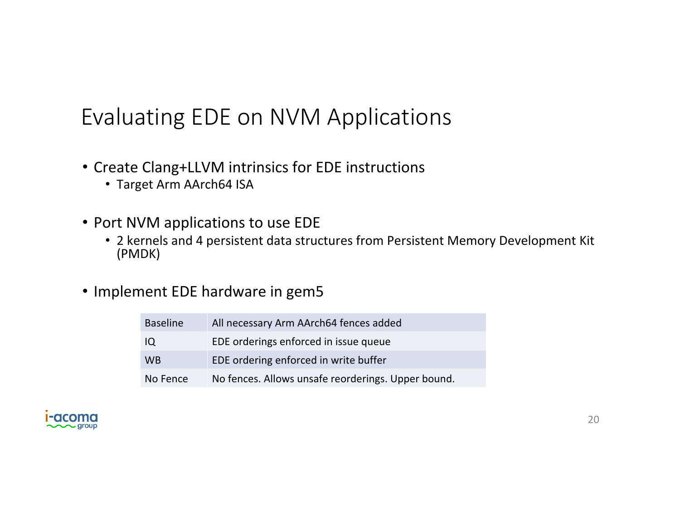### Evaluating EDE on NVM Applications

- Create Clang+LLVM intrinsics for EDE instructions
	- Target Arm AArch64 ISA
- Port NVM applications to use EDE
	- 2 kernels and 4 persistent data structures from Persistent Memory Development Kit (PMDK)
- Implement EDE hardware in gem5

| <b>Baseline</b> | All necessary Arm AArch64 fences added             |
|-----------------|----------------------------------------------------|
| IQ              | EDE orderings enforced in issue queue              |
| <b>WB</b>       | EDE ordering enforced in write buffer              |
| No Fence        | No fences. Allows unsafe reorderings. Upper bound. |

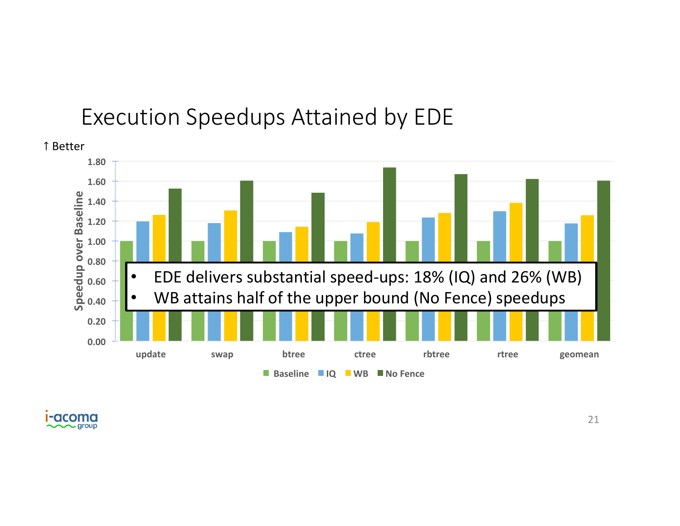#### Execution Speedups Attained by EDE



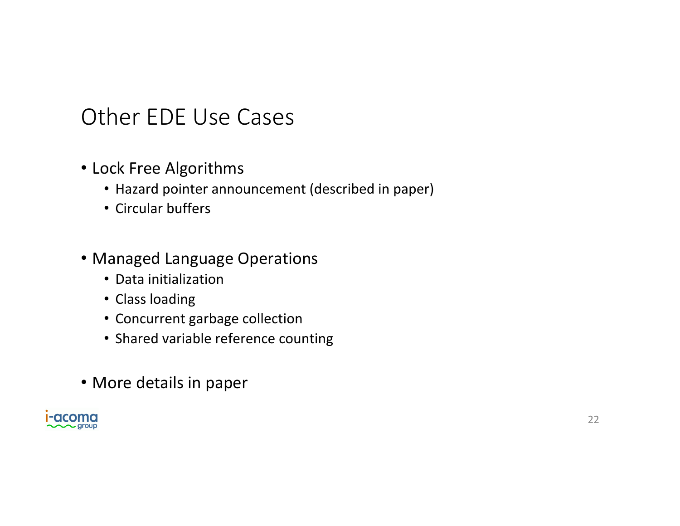#### Other EDE Use Cases

- Lock Free Algorithms
	- Hazard pointer announcement (described in paper)
	- Circular buffers

#### • Managed Language Operations

- Data initialization
- Class loading
- Concurrent garbage collection
- Shared variable reference counting
- More details in paper

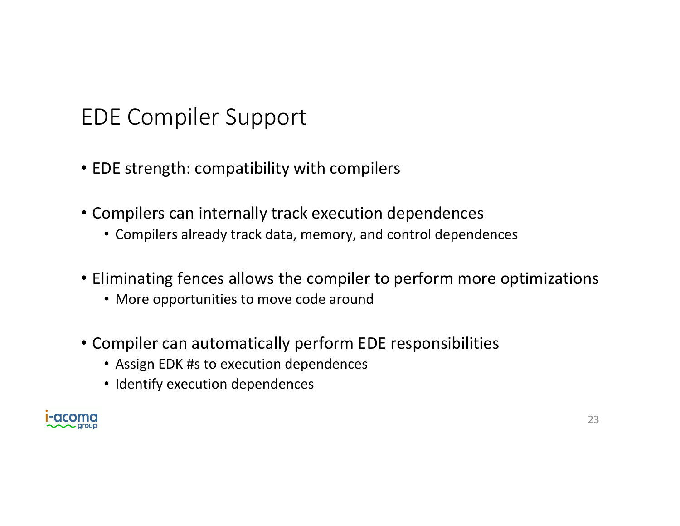## EDE Compiler Support

- EDE strength: compatibility with compilers
- Compilers can internally track execution dependences
	- Compilers already track data, memory, and control dependences
- Eliminating fences allows the compiler to perform more optimizations
	- More opportunities to move code around
- Compiler can automatically perform EDE responsibilities
	- Assign EDK #s to execution dependences
	- Identify execution dependences

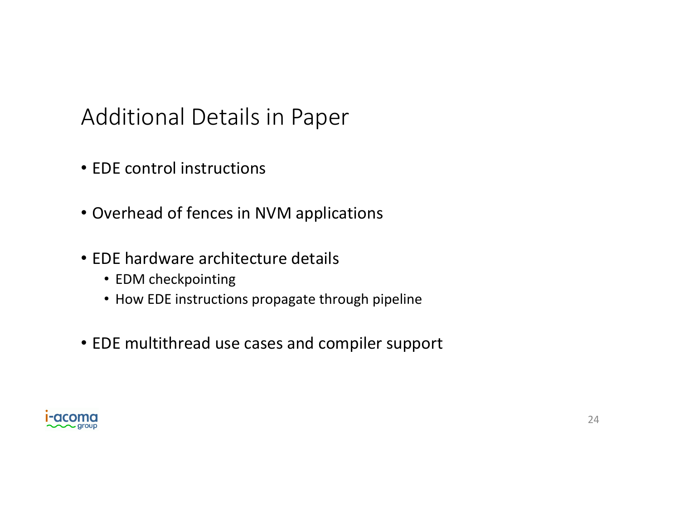### Additional Details in Paper

- EDE control instructions
- Overhead of fences in NVM applications
- EDE hardware architecture details
	- EDM checkpointing
	- How EDE instructions propagate through pipeline
- EDE multithread use cases and compiler support